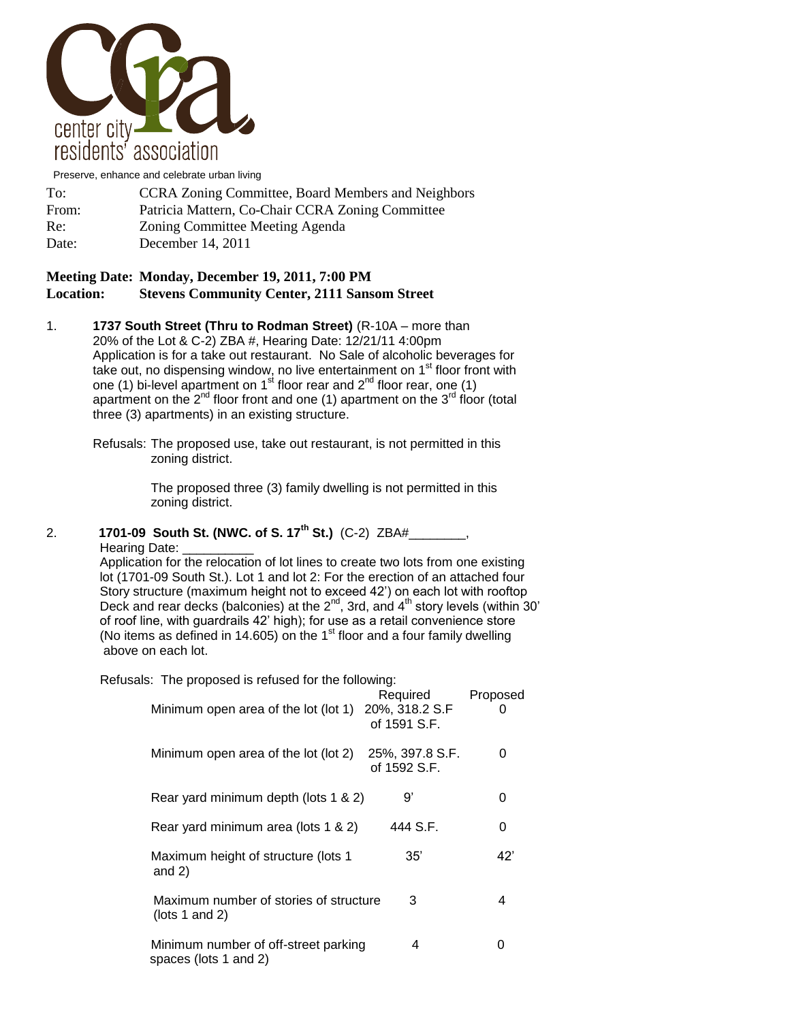

Preserve, enhance and celebrate urban living

| To:   | <b>CCRA Zoning Committee, Board Members and Neighbors</b> |
|-------|-----------------------------------------------------------|
| From: | Patricia Mattern, Co-Chair CCRA Zoning Committee          |
| Re:   | Zoning Committee Meeting Agenda                           |
| Date: | December 14, 2011                                         |

## **Meeting Date: Monday, December 19, 2011, 7:00 PM Location: Stevens Community Center, 2111 Sansom Street**

1. **1737 South Street (Thru to Rodman Street)** (R-10A – more than 20% of the Lot & C-2) ZBA #, Hearing Date: 12/21/11 4:00pm Application is for a take out restaurant. No Sale of alcoholic beverages for take out, no dispensing window, no live entertainment on 1<sup>st</sup> floor front with one (1) bi-level apartment on  $1<sup>st</sup>$  floor rear and  $2<sup>nd</sup>$  floor rear, one (1) apartment on the  $2^{nd}$  floor front and one (1) apartment on the  $3^{rd}$  floor (total three (3) apartments) in an existing structure.

Refusals: The proposed use, take out restaurant, is not permitted in this zoning district.

> The proposed three (3) family dwelling is not permitted in this zoning district.

## 2. **1701-09 South St. (NWC. of S. 17th St.)** (C-2) ZBA#\_\_\_\_\_\_\_\_, Hearing Date:

 Application for the relocation of lot lines to create two lots from one existing lot (1701-09 South St.). Lot 1 and lot 2: For the erection of an attached four Story structure (maximum height not to exceed 42') on each lot with rooftop Deck and rear decks (balconies) at the  $2^{nd}$ , 3rd, and  $4^{th}$  story levels (within 30' of roof line, with guardrails 42' high); for use as a retail convenience store (No items as defined in 14.605) on the 1 $\mathrm{^{st}}$  floor and a four family dwelling above on each lot.

| Refusals: The proposed is refused for the following:                  |                                            |          |
|-----------------------------------------------------------------------|--------------------------------------------|----------|
| Minimum open area of the lot (lot 1)                                  | Required<br>20%, 318.2 S.F<br>of 1591 S.F. | Proposed |
| Minimum open area of the lot (lot 2)                                  | 25%, 397.8 S.F.<br>of 1592 S.F.            | 0        |
| Rear yard minimum depth (lots 1 & 2)                                  | g,                                         | 0        |
| Rear yard minimum area (lots 1 & 2)                                   | 444 S.F.                                   | 0        |
| Maximum height of structure (lots 1<br>and $2)$                       | $35^{\circ}$                               | 42'      |
| Maximum number of stories of structure<br>( $\left  \right $ 1 and 2) | 3                                          | 4        |
| Minimum number of off-street parking<br>spaces (lots 1 and 2)         | 4                                          | 0        |